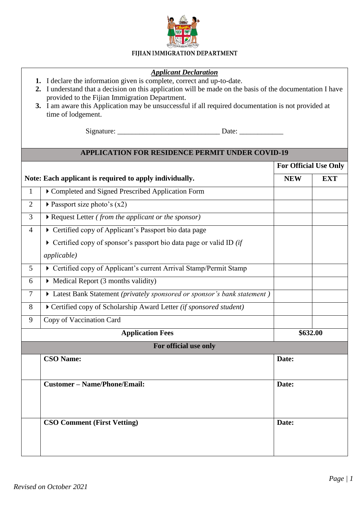

## FIJIAN IMMIGRATION DEPARTMENT

## *Applicant Declaration*

- **1.** I declare the information given is complete, correct and up-to-date.
- **2.** I understand that a decision on this application will be made on the basis of the documentation I have provided to the Fijian Immigration Department.
- **3.** I am aware this Application may be unsuccessful if all required documentation is not provided at time of lodgement.

Signature:  $\Box$ 

## **APPLICATION FOR RESIDENCE PERMIT UNDER COVID-19**

|                         |                                                                                     | <b>For Official Use Only</b> |            |
|-------------------------|-------------------------------------------------------------------------------------|------------------------------|------------|
|                         | Note: Each applicant is required to apply individually.                             | <b>NEW</b>                   | <b>EXT</b> |
| 1                       | Completed and Signed Prescribed Application Form                                    |                              |            |
| $\overline{2}$          | Passport size photo's $(x2)$                                                        |                              |            |
| $\overline{3}$          | Request Letter (from the applicant or the sponsor)                                  |                              |            |
| $\overline{4}$          | Certified copy of Applicant's Passport bio data page                                |                              |            |
|                         | $\triangleright$ Certified copy of sponsor's passport bio data page or valid ID (if |                              |            |
|                         | <i>applicable</i> )                                                                 |                              |            |
| $\overline{5}$          | Certified copy of Applicant's current Arrival Stamp/Permit Stamp                    |                              |            |
| 6                       | $\triangleright$ Medical Report (3 months validity)                                 |                              |            |
| $\overline{7}$          | Eatest Bank Statement (privately sponsored or sponsor's bank statement)             |                              |            |
| 8                       | Certified copy of Scholarship Award Letter (if sponsored student)                   |                              |            |
| 9                       | Copy of Vaccination Card                                                            |                              |            |
| <b>Application Fees</b> |                                                                                     | \$632.00                     |            |
|                         | For official use only                                                               |                              |            |
|                         | <b>CSO Name:</b>                                                                    | Date:                        |            |
|                         | <b>Customer</b> – Name/Phone/Email:                                                 | Date:<br>Date:               |            |
|                         | <b>CSO Comment (First Vetting)</b>                                                  |                              |            |
|                         |                                                                                     |                              |            |